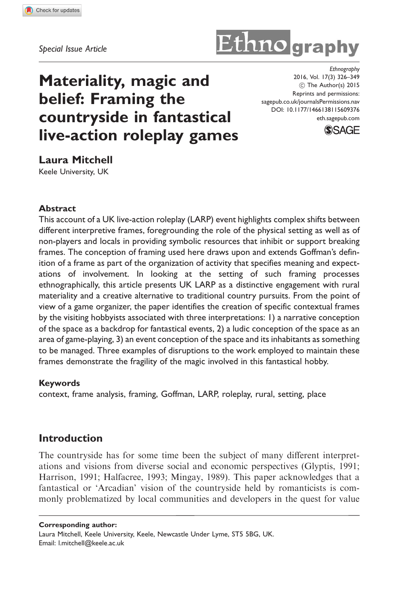Special Issue Article

# Ethno graphy

# Materiality, magic and belief: Framing the countryside in fantastical live-action roleplay games

**Ethnography** 2016, Vol. 17(3) 326–349  $©$  The Author(s) 2015 Reprints and permissions: sagepub.co.uk/journalsPermissions.nav DOI: 10.1177/1466138115609376 eth.sagepub.com



# Laura Mitchell

Keele University, UK

#### Abstract

This account of a UK live-action roleplay (LARP) event highlights complex shifts between different interpretive frames, foregrounding the role of the physical setting as well as of non-players and locals in providing symbolic resources that inhibit or support breaking frames. The conception of framing used here draws upon and extends Goffman's definition of a frame as part of the organization of activity that specifies meaning and expectations of involvement. In looking at the setting of such framing processes ethnographically, this article presents UK LARP as a distinctive engagement with rural materiality and a creative alternative to traditional country pursuits. From the point of view of a game organizer, the paper identifies the creation of specific contextual frames by the visiting hobbyists associated with three interpretations: 1) a narrative conception of the space as a backdrop for fantastical events, 2) a ludic conception of the space as an area of game-playing, 3) an event conception of the space and its inhabitants as something to be managed. Three examples of disruptions to the work employed to maintain these frames demonstrate the fragility of the magic involved in this fantastical hobby.

#### Keywords

context, frame analysis, framing, Goffman, LARP, roleplay, rural, setting, place

# Introduction

The countryside has for some time been the subject of many different interpretations and visions from diverse social and economic perspectives (Glyptis, 1991; Harrison, 1991; Halfacree, 1993; Mingay, 1989). This paper acknowledges that a fantastical or 'Arcadian' vision of the countryside held by romanticists is commonly problematized by local communities and developers in the quest for value

Corresponding author:

Laura Mitchell, Keele University, Keele, Newcastle Under Lyme, ST5 5BG, UK. Email: l.mitchell@keele.ac.uk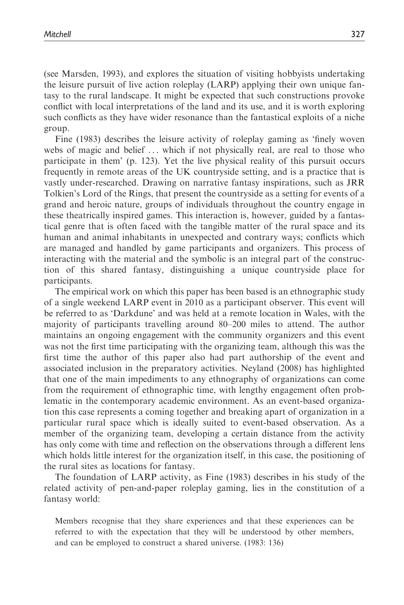(see Marsden, 1993), and explores the situation of visiting hobbyists undertaking the leisure pursuit of live action roleplay (LARP) applying their own unique fantasy to the rural landscape. It might be expected that such constructions provoke conflict with local interpretations of the land and its use, and it is worth exploring such conflicts as they have wider resonance than the fantastical exploits of a niche group.

Fine (1983) describes the leisure activity of roleplay gaming as 'finely woven webs of magic and belief ... which if not physically real, are real to those who participate in them' (p. 123). Yet the live physical reality of this pursuit occurs frequently in remote areas of the UK countryside setting, and is a practice that is vastly under-researched. Drawing on narrative fantasy inspirations, such as JRR Tolkien's Lord of the Rings, that present the countryside as a setting for events of a grand and heroic nature, groups of individuals throughout the country engage in these theatrically inspired games. This interaction is, however, guided by a fantastical genre that is often faced with the tangible matter of the rural space and its human and animal inhabitants in unexpected and contrary ways; conflicts which are managed and handled by game participants and organizers. This process of interacting with the material and the symbolic is an integral part of the construction of this shared fantasy, distinguishing a unique countryside place for participants.

The empirical work on which this paper has been based is an ethnographic study of a single weekend LARP event in 2010 as a participant observer. This event will be referred to as 'Darkdune' and was held at a remote location in Wales, with the majority of participants travelling around 80–200 miles to attend. The author maintains an ongoing engagement with the community organizers and this event was not the first time participating with the organizing team, although this was the first time the author of this paper also had part authorship of the event and associated inclusion in the preparatory activities. Neyland (2008) has highlighted that one of the main impediments to any ethnography of organizations can come from the requirement of ethnographic time, with lengthy engagement often problematic in the contemporary academic environment. As an event-based organization this case represents a coming together and breaking apart of organization in a particular rural space which is ideally suited to event-based observation. As a member of the organizing team, developing a certain distance from the activity has only come with time and reflection on the observations through a different lens which holds little interest for the organization itself, in this case, the positioning of the rural sites as locations for fantasy.

The foundation of LARP activity, as Fine (1983) describes in his study of the related activity of pen-and-paper roleplay gaming, lies in the constitution of a fantasy world:

Members recognise that they share experiences and that these experiences can be referred to with the expectation that they will be understood by other members, and can be employed to construct a shared universe. (1983: 136)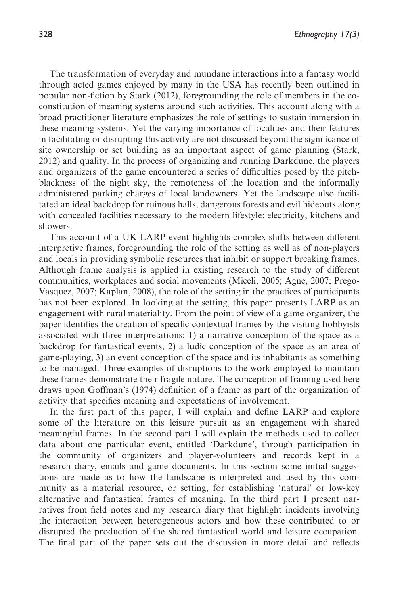The transformation of everyday and mundane interactions into a fantasy world through acted games enjoyed by many in the USA has recently been outlined in popular non-fiction by Stark (2012), foregrounding the role of members in the coconstitution of meaning systems around such activities. This account along with a broad practitioner literature emphasizes the role of settings to sustain immersion in these meaning systems. Yet the varying importance of localities and their features in facilitating or disrupting this activity are not discussed beyond the significance of site ownership or set building as an important aspect of game planning (Stark, 2012) and quality. In the process of organizing and running Darkdune, the players and organizers of the game encountered a series of difficulties posed by the pitchblackness of the night sky, the remoteness of the location and the informally administered parking charges of local landowners. Yet the landscape also facilitated an ideal backdrop for ruinous halls, dangerous forests and evil hideouts along with concealed facilities necessary to the modern lifestyle: electricity, kitchens and showers.

This account of a UK LARP event highlights complex shifts between different interpretive frames, foregrounding the role of the setting as well as of non-players and locals in providing symbolic resources that inhibit or support breaking frames. Although frame analysis is applied in existing research to the study of different communities, workplaces and social movements (Miceli, 2005; Agne, 2007; Prego-Vasquez, 2007; Kaplan, 2008), the role of the setting in the practices of participants has not been explored. In looking at the setting, this paper presents LARP as an engagement with rural materiality. From the point of view of a game organizer, the paper identifies the creation of specific contextual frames by the visiting hobbyists associated with three interpretations: 1) a narrative conception of the space as a backdrop for fantastical events, 2) a ludic conception of the space as an area of game-playing, 3) an event conception of the space and its inhabitants as something to be managed. Three examples of disruptions to the work employed to maintain these frames demonstrate their fragile nature. The conception of framing used here draws upon Goffman's (1974) definition of a frame as part of the organization of activity that specifies meaning and expectations of involvement.

In the first part of this paper, I will explain and define LARP and explore some of the literature on this leisure pursuit as an engagement with shared meaningful frames. In the second part I will explain the methods used to collect data about one particular event, entitled 'Darkdune', through participation in the community of organizers and player-volunteers and records kept in a research diary, emails and game documents. In this section some initial suggestions are made as to how the landscape is interpreted and used by this community as a material resource, or setting, for establishing 'natural' or low-key alternative and fantastical frames of meaning. In the third part I present narratives from field notes and my research diary that highlight incidents involving the interaction between heterogeneous actors and how these contributed to or disrupted the production of the shared fantastical world and leisure occupation. The final part of the paper sets out the discussion in more detail and reflects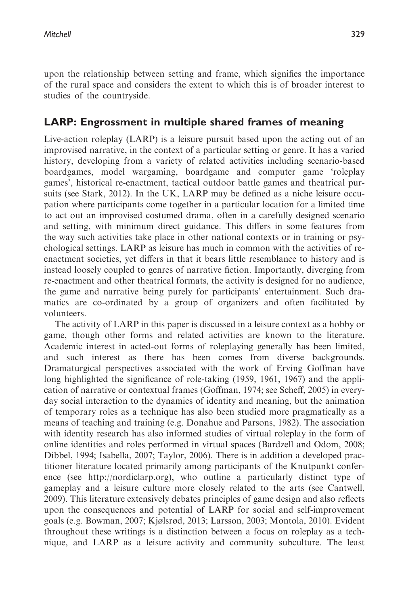upon the relationship between setting and frame, which signifies the importance of the rural space and considers the extent to which this is of broader interest to studies of the countryside.

# LARP: Engrossment in multiple shared frames of meaning

Live-action roleplay (LARP) is a leisure pursuit based upon the acting out of an improvised narrative, in the context of a particular setting or genre. It has a varied history, developing from a variety of related activities including scenario-based boardgames, model wargaming, boardgame and computer game 'roleplay games', historical re-enactment, tactical outdoor battle games and theatrical pursuits (see Stark, 2012). In the UK, LARP may be defined as a niche leisure occupation where participants come together in a particular location for a limited time to act out an improvised costumed drama, often in a carefully designed scenario and setting, with minimum direct guidance. This differs in some features from the way such activities take place in other national contexts or in training or psychological settings. LARP as leisure has much in common with the activities of reenactment societies, yet differs in that it bears little resemblance to history and is instead loosely coupled to genres of narrative fiction. Importantly, diverging from re-enactment and other theatrical formats, the activity is designed for no audience, the game and narrative being purely for participants' entertainment. Such dramatics are co-ordinated by a group of organizers and often facilitated by volunteers.

The activity of LARP in this paper is discussed in a leisure context as a hobby or game, though other forms and related activities are known to the literature. Academic interest in acted-out forms of roleplaying generally has been limited, and such interest as there has been comes from diverse backgrounds. Dramaturgical perspectives associated with the work of Erving Goffman have long highlighted the significance of role-taking (1959, 1961, 1967) and the application of narrative or contextual frames (Goffman, 1974; see Scheff, 2005) in everyday social interaction to the dynamics of identity and meaning, but the animation of temporary roles as a technique has also been studied more pragmatically as a means of teaching and training (e.g. Donahue and Parsons, 1982). The association with identity research has also informed studies of virtual roleplay in the form of online identities and roles performed in virtual spaces (Bardzell and Odom, 2008; Dibbel, 1994; Isabella, 2007; Taylor, 2006). There is in addition a developed practitioner literature located primarily among participants of the Knutpunkt conference (see http://nordiclarp.org), who outline a particularly distinct type of gameplay and a leisure culture more closely related to the arts (see Cantwell, 2009). This literature extensively debates principles of game design and also reflects upon the consequences and potential of LARP for social and self-improvement goals (e.g. Bowman, 2007; Kjølsrød, 2013; Larsson, 2003; Montola, 2010). Evident throughout these writings is a distinction between a focus on roleplay as a technique, and LARP as a leisure activity and community subculture. The least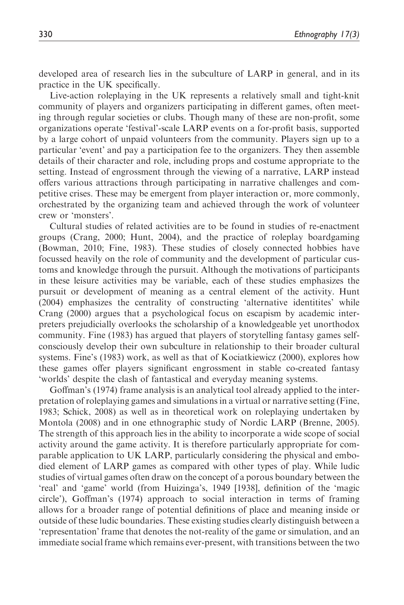developed area of research lies in the subculture of LARP in general, and in its practice in the UK specifically.

Live-action roleplaying in the UK represents a relatively small and tight-knit community of players and organizers participating in different games, often meeting through regular societies or clubs. Though many of these are non-profit, some organizations operate 'festival'-scale LARP events on a for-profit basis, supported by a large cohort of unpaid volunteers from the community. Players sign up to a particular 'event' and pay a participation fee to the organizers. They then assemble details of their character and role, including props and costume appropriate to the setting. Instead of engrossment through the viewing of a narrative, LARP instead offers various attractions through participating in narrative challenges and competitive crises. These may be emergent from player interaction or, more commonly, orchestrated by the organizing team and achieved through the work of volunteer crew or 'monsters'.

Cultural studies of related activities are to be found in studies of re-enactment groups (Crang, 2000; Hunt, 2004), and the practice of roleplay boardgaming (Bowman, 2010; Fine, 1983). These studies of closely connected hobbies have focussed heavily on the role of community and the development of particular customs and knowledge through the pursuit. Although the motivations of participants in these leisure activities may be variable, each of these studies emphasizes the pursuit or development of meaning as a central element of the activity. Hunt (2004) emphasizes the centrality of constructing 'alternative identitites' while Crang (2000) argues that a psychological focus on escapism by academic interpreters prejudicially overlooks the scholarship of a knowledgeable yet unorthodox community. Fine (1983) has argued that players of storytelling fantasy games selfconsciously develop their own subculture in relationship to their broader cultural systems. Fine's (1983) work, as well as that of Kociatkiewicz (2000), explores how these games offer players significant engrossment in stable co-created fantasy 'worlds' despite the clash of fantastical and everyday meaning systems.

Goffman's (1974) frame analysis is an analytical tool already applied to the interpretation of roleplaying games and simulations in a virtual or narrative setting (Fine, 1983; Schick, 2008) as well as in theoretical work on roleplaying undertaken by Montola (2008) and in one ethnographic study of Nordic LARP (Brenne, 2005). The strength of this approach lies in the ability to incorporate a wide scope of social activity around the game activity. It is therefore particularly appropriate for comparable application to UK LARP, particularly considering the physical and embodied element of LARP games as compared with other types of play. While ludic studies of virtual games often draw on the concept of a porous boundary between the 'real' and 'game' world (from Huizinga's, 1949 [1938], definition of the 'magic circle'), Goffman's (1974) approach to social interaction in terms of framing allows for a broader range of potential definitions of place and meaning inside or outside of these ludic boundaries. These existing studies clearly distinguish between a 'representation' frame that denotes the not-reality of the game or simulation, and an immediate social frame which remains ever-present, with transitions between the two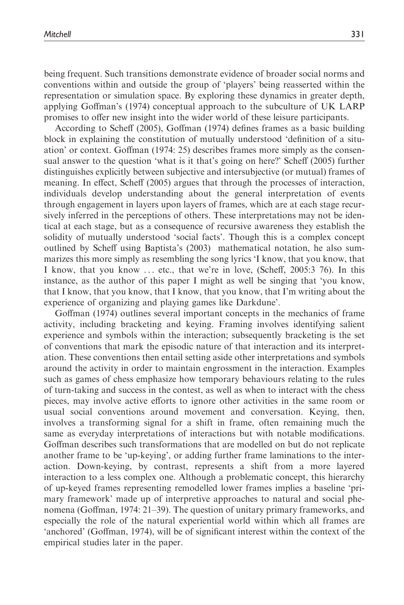being frequent. Such transitions demonstrate evidence of broader social norms and conventions within and outside the group of 'players' being reasserted within the representation or simulation space. By exploring these dynamics in greater depth, applying Goffman's (1974) conceptual approach to the subculture of UK LARP promises to offer new insight into the wider world of these leisure participants.

According to Scheff (2005), Goffman (1974) defines frames as a basic building block in explaining the constitution of mutually understood 'definition of a situation' or context. Goffman (1974: 25) describes frames more simply as the consensual answer to the question 'what is it that's going on here?' Scheff (2005) further distinguishes explicitly between subjective and intersubjective (or mutual) frames of meaning. In effect, Scheff (2005) argues that through the processes of interaction, individuals develop understanding about the general interpretation of events through engagement in layers upon layers of frames, which are at each stage recursively inferred in the perceptions of others. These interpretations may not be identical at each stage, but as a consequence of recursive awareness they establish the solidity of mutually understood 'social facts'. Though this is a complex concept outlined by Scheff using Baptista's (2003) mathematical notation, he also summarizes this more simply as resembling the song lyrics 'I know, that you know, that I know, that you know ... etc., that we're in love, (Scheff, 2005:3 76). In this instance, as the author of this paper I might as well be singing that 'you know, that I know, that you know, that I know, that you know, that I'm writing about the experience of organizing and playing games like Darkdune'.

Goffman (1974) outlines several important concepts in the mechanics of frame activity, including bracketing and keying. Framing involves identifying salient experience and symbols within the interaction; subsequently bracketing is the set of conventions that mark the episodic nature of that interaction and its interpretation. These conventions then entail setting aside other interpretations and symbols around the activity in order to maintain engrossment in the interaction. Examples such as games of chess emphasize how temporary behaviours relating to the rules of turn-taking and success in the contest, as well as when to interact with the chess pieces, may involve active efforts to ignore other activities in the same room or usual social conventions around movement and conversation. Keying, then, involves a transforming signal for a shift in frame, often remaining much the same as everyday interpretations of interactions but with notable modifications. Goffman describes such transformations that are modelled on but do not replicate another frame to be 'up-keying', or adding further frame laminations to the interaction. Down-keying, by contrast, represents a shift from a more layered interaction to a less complex one. Although a problematic concept, this hierarchy of up-keyed frames representing remodelled lower frames implies a baseline 'primary framework' made up of interpretive approaches to natural and social phenomena (Goffman, 1974: 21–39). The question of unitary primary frameworks, and especially the role of the natural experiential world within which all frames are 'anchored' (Goffman, 1974), will be of significant interest within the context of the empirical studies later in the paper.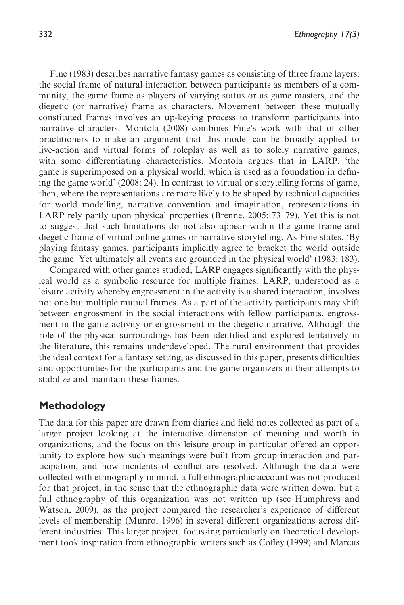Fine (1983) describes narrative fantasy games as consisting of three frame layers: the social frame of natural interaction between participants as members of a community, the game frame as players of varying status or as game masters, and the diegetic (or narrative) frame as characters. Movement between these mutually constituted frames involves an up-keying process to transform participants into narrative characters. Montola (2008) combines Fine's work with that of other practitioners to make an argument that this model can be broadly applied to live-action and virtual forms of roleplay as well as to solely narrative games, with some differentiating characteristics. Montola argues that in LARP, 'the game is superimposed on a physical world, which is used as a foundation in defining the game world' (2008: 24). In contrast to virtual or storytelling forms of game, then, where the representations are more likely to be shaped by technical capacities for world modelling, narrative convention and imagination, representations in LARP rely partly upon physical properties (Brenne, 2005: 73–79). Yet this is not to suggest that such limitations do not also appear within the game frame and diegetic frame of virtual online games or narrative storytelling. As Fine states, 'By playing fantasy games, participants implicitly agree to bracket the world outside the game. Yet ultimately all events are grounded in the physical world' (1983: 183).

Compared with other games studied, LARP engages significantly with the physical world as a symbolic resource for multiple frames. LARP, understood as a leisure activity whereby engrossment in the activity is a shared interaction, involves not one but multiple mutual frames. As a part of the activity participants may shift between engrossment in the social interactions with fellow participants, engrossment in the game activity or engrossment in the diegetic narrative. Although the role of the physical surroundings has been identified and explored tentatively in the literature, this remains underdeveloped. The rural environment that provides the ideal context for a fantasy setting, as discussed in this paper, presents difficulties and opportunities for the participants and the game organizers in their attempts to stabilize and maintain these frames.

# Methodology

The data for this paper are drawn from diaries and field notes collected as part of a larger project looking at the interactive dimension of meaning and worth in organizations, and the focus on this leisure group in particular offered an opportunity to explore how such meanings were built from group interaction and participation, and how incidents of conflict are resolved. Although the data were collected with ethnography in mind, a full ethnographic account was not produced for that project, in the sense that the ethnographic data were written down, but a full ethnography of this organization was not written up (see Humphreys and Watson, 2009), as the project compared the researcher's experience of different levels of membership (Munro, 1996) in several different organizations across different industries. This larger project, focussing particularly on theoretical development took inspiration from ethnographic writers such as Coffey (1999) and Marcus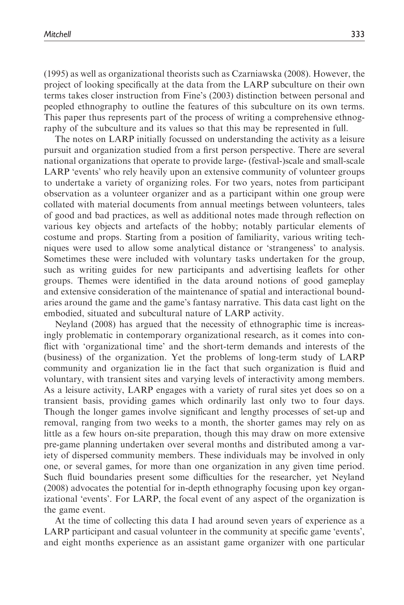(1995) as well as organizational theorists such as Czarniawska (2008). However, the project of looking specifically at the data from the LARP subculture on their own terms takes closer instruction from Fine's (2003) distinction between personal and peopled ethnography to outline the features of this subculture on its own terms. This paper thus represents part of the process of writing a comprehensive ethnography of the subculture and its values so that this may be represented in full.

The notes on LARP initially focussed on understanding the activity as a leisure pursuit and organization studied from a first person perspective. There are several national organizations that operate to provide large- (festival-)scale and small-scale LARP 'events' who rely heavily upon an extensive community of volunteer groups to undertake a variety of organizing roles. For two years, notes from participant observation as a volunteer organizer and as a participant within one group were collated with material documents from annual meetings between volunteers, tales of good and bad practices, as well as additional notes made through reflection on various key objects and artefacts of the hobby; notably particular elements of costume and props. Starting from a position of familiarity, various writing techniques were used to allow some analytical distance or 'strangeness' to analysis. Sometimes these were included with voluntary tasks undertaken for the group, such as writing guides for new participants and advertising leaflets for other groups. Themes were identified in the data around notions of good gameplay and extensive consideration of the maintenance of spatial and interactional boundaries around the game and the game's fantasy narrative. This data cast light on the embodied, situated and subcultural nature of LARP activity.

Neyland (2008) has argued that the necessity of ethnographic time is increasingly problematic in contemporary organizational research, as it comes into conflict with 'organizational time' and the short-term demands and interests of the (business) of the organization. Yet the problems of long-term study of LARP community and organization lie in the fact that such organization is fluid and voluntary, with transient sites and varying levels of interactivity among members. As a leisure activity, LARP engages with a variety of rural sites yet does so on a transient basis, providing games which ordinarily last only two to four days. Though the longer games involve significant and lengthy processes of set-up and removal, ranging from two weeks to a month, the shorter games may rely on as little as a few hours on-site preparation, though this may draw on more extensive pre-game planning undertaken over several months and distributed among a variety of dispersed community members. These individuals may be involved in only one, or several games, for more than one organization in any given time period. Such fluid boundaries present some difficulties for the researcher, yet Neyland (2008) advocates the potential for in-depth ethnography focusing upon key organizational 'events'. For LARP, the focal event of any aspect of the organization is the game event.

At the time of collecting this data I had around seven years of experience as a LARP participant and casual volunteer in the community at specific game 'events', and eight months experience as an assistant game organizer with one particular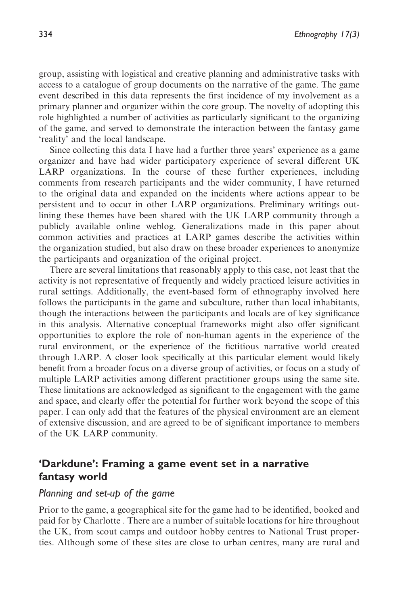group, assisting with logistical and creative planning and administrative tasks with access to a catalogue of group documents on the narrative of the game. The game event described in this data represents the first incidence of my involvement as a primary planner and organizer within the core group. The novelty of adopting this role highlighted a number of activities as particularly significant to the organizing of the game, and served to demonstrate the interaction between the fantasy game 'reality' and the local landscape.

Since collecting this data I have had a further three years' experience as a game organizer and have had wider participatory experience of several different UK LARP organizations. In the course of these further experiences, including comments from research participants and the wider community, I have returned to the original data and expanded on the incidents where actions appear to be persistent and to occur in other LARP organizations. Preliminary writings outlining these themes have been shared with the UK LARP community through a publicly available online weblog. Generalizations made in this paper about common activities and practices at LARP games describe the activities within the organization studied, but also draw on these broader experiences to anonymize the participants and organization of the original project.

There are several limitations that reasonably apply to this case, not least that the activity is not representative of frequently and widely practiced leisure activities in rural settings. Additionally, the event-based form of ethnography involved here follows the participants in the game and subculture, rather than local inhabitants, though the interactions between the participants and locals are of key significance in this analysis. Alternative conceptual frameworks might also offer significant opportunities to explore the role of non-human agents in the experience of the rural environment, or the experience of the fictitious narrative world created through LARP. A closer look specifically at this particular element would likely benefit from a broader focus on a diverse group of activities, or focus on a study of multiple LARP activities among different practitioner groups using the same site. These limitations are acknowledged as significant to the engagement with the game and space, and clearly offer the potential for further work beyond the scope of this paper. I can only add that the features of the physical environment are an element of extensive discussion, and are agreed to be of significant importance to members of the UK LARP community.

### 'Darkdune': Framing a game event set in a narrative fantasy world

#### Planning and set-up of the game

Prior to the game, a geographical site for the game had to be identified, booked and paid for by Charlotte . There are a number of suitable locations for hire throughout the UK, from scout camps and outdoor hobby centres to National Trust properties. Although some of these sites are close to urban centres, many are rural and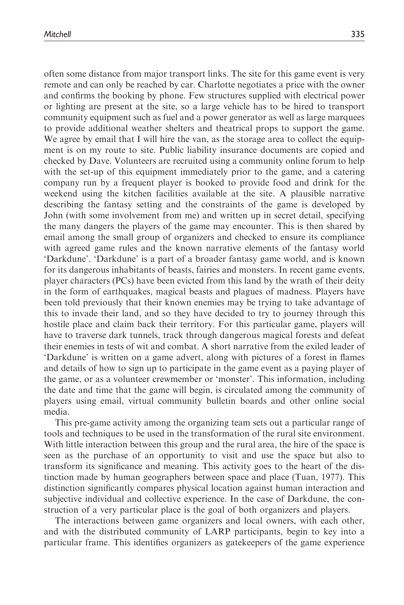often some distance from major transport links. The site for this game event is very remote and can only be reached by car. Charlotte negotiates a price with the owner and confirms the booking by phone. Few structures supplied with electrical power or lighting are present at the site, so a large vehicle has to be hired to transport community equipment such as fuel and a power generator as well as large marquees to provide additional weather shelters and theatrical props to support the game. We agree by email that I will hire the van, as the storage area to collect the equipment is on my route to site. Public liability insurance documents are copied and checked by Dave. Volunteers are recruited using a community online forum to help with the set-up of this equipment immediately prior to the game, and a catering company run by a frequent player is booked to provide food and drink for the weekend using the kitchen facilities available at the site. A plausible narrative describing the fantasy setting and the constraints of the game is developed by John (with some involvement from me) and written up in secret detail, specifying the many dangers the players of the game may encounter. This is then shared by email among the small group of organizers and checked to ensure its compliance with agreed game rules and the known narrative elements of the fantasy world 'Darkdune'. 'Darkdune' is a part of a broader fantasy game world, and is known for its dangerous inhabitants of beasts, fairies and monsters. In recent game events, player characters (PCs) have been evicted from this land by the wrath of their deity in the form of earthquakes, magical beasts and plagues of madness. Players have been told previously that their known enemies may be trying to take advantage of this to invade their land, and so they have decided to try to journey through this hostile place and claim back their territory. For this particular game, players will have to traverse dark tunnels, track through dangerous magical forests and defeat their enemies in tests of wit and combat. A short narrative from the exiled leader of 'Darkdune' is written on a game advert, along with pictures of a forest in flames and details of how to sign up to participate in the game event as a paying player of the game, or as a volunteer crewmember or 'monster'. This information, including the date and time that the game will begin, is circulated among the community of players using email, virtual community bulletin boards and other online social media.

This pre-game activity among the organizing team sets out a particular range of tools and techniques to be used in the transformation of the rural site environment. With little interaction between this group and the rural area, the hire of the space is seen as the purchase of an opportunity to visit and use the space but also to transform its significance and meaning. This activity goes to the heart of the distinction made by human geographers between space and place (Tuan, 1977). This distinction significantly compares physical location against human interaction and subjective individual and collective experience. In the case of Darkdune, the construction of a very particular place is the goal of both organizers and players.

The interactions between game organizers and local owners, with each other, and with the distributed community of LARP participants, begin to key into a particular frame. This identifies organizers as gatekeepers of the game experience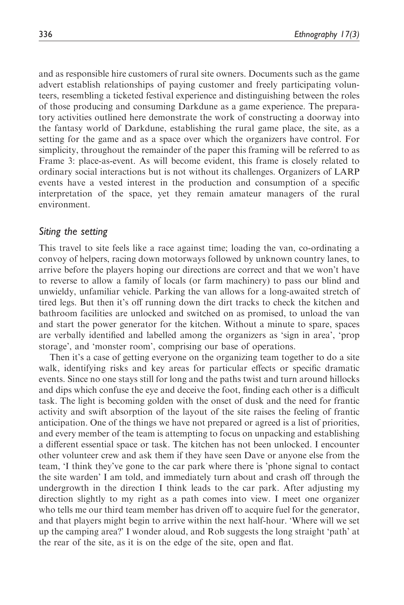and as responsible hire customers of rural site owners. Documents such as the game advert establish relationships of paying customer and freely participating volunteers, resembling a ticketed festival experience and distinguishing between the roles of those producing and consuming Darkdune as a game experience. The preparatory activities outlined here demonstrate the work of constructing a doorway into the fantasy world of Darkdune, establishing the rural game place, the site, as a setting for the game and as a space over which the organizers have control. For simplicity, throughout the remainder of the paper this framing will be referred to as Frame 3: place-as-event. As will become evident, this frame is closely related to ordinary social interactions but is not without its challenges. Organizers of LARP events have a vested interest in the production and consumption of a specific interpretation of the space, yet they remain amateur managers of the rural environment.

#### Siting the setting

This travel to site feels like a race against time; loading the van, co-ordinating a convoy of helpers, racing down motorways followed by unknown country lanes, to arrive before the players hoping our directions are correct and that we won't have to reverse to allow a family of locals (or farm machinery) to pass our blind and unwieldy, unfamiliar vehicle. Parking the van allows for a long-awaited stretch of tired legs. But then it's off running down the dirt tracks to check the kitchen and bathroom facilities are unlocked and switched on as promised, to unload the van and start the power generator for the kitchen. Without a minute to spare, spaces are verbally identified and labelled among the organizers as 'sign in area', 'prop storage', and 'monster room', comprising our base of operations.

Then it's a case of getting everyone on the organizing team together to do a site walk, identifying risks and key areas for particular effects or specific dramatic events. Since no one stays still for long and the paths twist and turn around hillocks and dips which confuse the eye and deceive the foot, finding each other is a difficult task. The light is becoming golden with the onset of dusk and the need for frantic activity and swift absorption of the layout of the site raises the feeling of frantic anticipation. One of the things we have not prepared or agreed is a list of priorities, and every member of the team is attempting to focus on unpacking and establishing a different essential space or task. The kitchen has not been unlocked. I encounter other volunteer crew and ask them if they have seen Dave or anyone else from the team, 'I think they've gone to the car park where there is 'phone signal to contact the site warden' I am told, and immediately turn about and crash off through the undergrowth in the direction I think leads to the car park. After adjusting my direction slightly to my right as a path comes into view. I meet one organizer who tells me our third team member has driven off to acquire fuel for the generator, and that players might begin to arrive within the next half-hour. 'Where will we set up the camping area?' I wonder aloud, and Rob suggests the long straight 'path' at the rear of the site, as it is on the edge of the site, open and flat.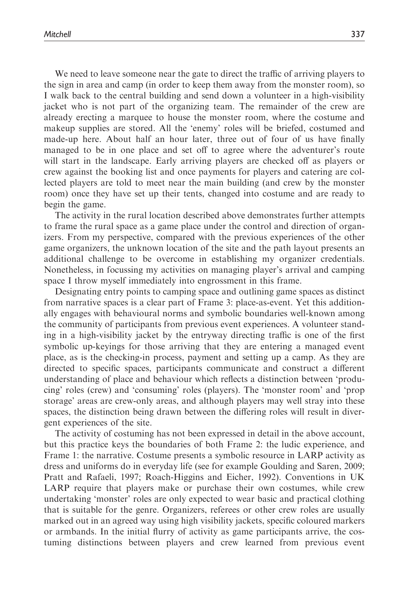We need to leave someone near the gate to direct the traffic of arriving players to the sign in area and camp (in order to keep them away from the monster room), so I walk back to the central building and send down a volunteer in a high-visibility jacket who is not part of the organizing team. The remainder of the crew are already erecting a marquee to house the monster room, where the costume and makeup supplies are stored. All the 'enemy' roles will be briefed, costumed and made-up here. About half an hour later, three out of four of us have finally managed to be in one place and set off to agree where the adventurer's route will start in the landscape. Early arriving players are checked off as players or crew against the booking list and once payments for players and catering are collected players are told to meet near the main building (and crew by the monster room) once they have set up their tents, changed into costume and are ready to begin the game.

The activity in the rural location described above demonstrates further attempts to frame the rural space as a game place under the control and direction of organizers. From my perspective, compared with the previous experiences of the other game organizers, the unknown location of the site and the path layout presents an additional challenge to be overcome in establishing my organizer credentials. Nonetheless, in focussing my activities on managing player's arrival and camping space I throw myself immediately into engrossment in this frame.

Designating entry points to camping space and outlining game spaces as distinct from narrative spaces is a clear part of Frame 3: place-as-event. Yet this additionally engages with behavioural norms and symbolic boundaries well-known among the community of participants from previous event experiences. A volunteer standing in a high-visibility jacket by the entryway directing traffic is one of the first symbolic up-keyings for those arriving that they are entering a managed event place, as is the checking-in process, payment and setting up a camp. As they are directed to specific spaces, participants communicate and construct a different understanding of place and behaviour which reflects a distinction between 'producing' roles (crew) and 'consuming' roles (players). The 'monster room' and 'prop storage' areas are crew-only areas, and although players may well stray into these spaces, the distinction being drawn between the differing roles will result in divergent experiences of the site.

The activity of costuming has not been expressed in detail in the above account, but this practice keys the boundaries of both Frame 2: the ludic experience, and Frame 1: the narrative. Costume presents a symbolic resource in LARP activity as dress and uniforms do in everyday life (see for example Goulding and Saren, 2009; Pratt and Rafaeli, 1997; Roach-Higgins and Eicher, 1992). Conventions in UK LARP require that players make or purchase their own costumes, while crew undertaking 'monster' roles are only expected to wear basic and practical clothing that is suitable for the genre. Organizers, referees or other crew roles are usually marked out in an agreed way using high visibility jackets, specific coloured markers or armbands. In the initial flurry of activity as game participants arrive, the costuming distinctions between players and crew learned from previous event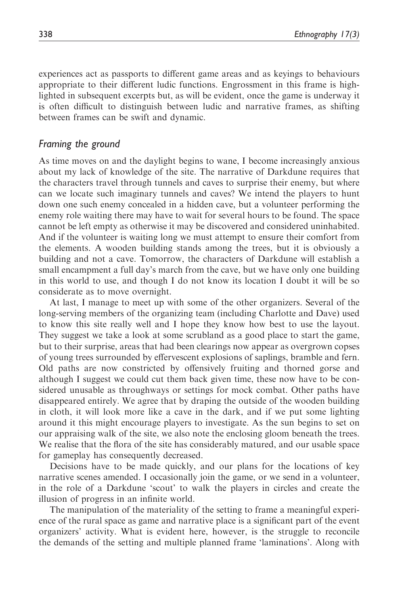experiences act as passports to different game areas and as keyings to behaviours appropriate to their different ludic functions. Engrossment in this frame is highlighted in subsequent excerpts but, as will be evident, once the game is underway it is often difficult to distinguish between ludic and narrative frames, as shifting between frames can be swift and dynamic.

#### Framing the ground

As time moves on and the daylight begins to wane, I become increasingly anxious about my lack of knowledge of the site. The narrative of Darkdune requires that the characters travel through tunnels and caves to surprise their enemy, but where can we locate such imaginary tunnels and caves? We intend the players to hunt down one such enemy concealed in a hidden cave, but a volunteer performing the enemy role waiting there may have to wait for several hours to be found. The space cannot be left empty as otherwise it may be discovered and considered uninhabited. And if the volunteer is waiting long we must attempt to ensure their comfort from the elements. A wooden building stands among the trees, but it is obviously a building and not a cave. Tomorrow, the characters of Darkdune will establish a small encampment a full day's march from the cave, but we have only one building in this world to use, and though I do not know its location I doubt it will be so considerate as to move overnight.

At last, I manage to meet up with some of the other organizers. Several of the long-serving members of the organizing team (including Charlotte and Dave) used to know this site really well and I hope they know how best to use the layout. They suggest we take a look at some scrubland as a good place to start the game, but to their surprise, areas that had been clearings now appear as overgrown copses of young trees surrounded by effervescent explosions of saplings, bramble and fern. Old paths are now constricted by offensively fruiting and thorned gorse and although I suggest we could cut them back given time, these now have to be considered unusable as throughways or settings for mock combat. Other paths have disappeared entirely. We agree that by draping the outside of the wooden building in cloth, it will look more like a cave in the dark, and if we put some lighting around it this might encourage players to investigate. As the sun begins to set on our appraising walk of the site, we also note the enclosing gloom beneath the trees. We realise that the flora of the site has considerably matured, and our usable space for gameplay has consequently decreased.

Decisions have to be made quickly, and our plans for the locations of key narrative scenes amended. I occasionally join the game, or we send in a volunteer, in the role of a Darkdune 'scout' to walk the players in circles and create the illusion of progress in an infinite world.

The manipulation of the materiality of the setting to frame a meaningful experience of the rural space as game and narrative place is a significant part of the event organizers' activity. What is evident here, however, is the struggle to reconcile the demands of the setting and multiple planned frame 'laminations'. Along with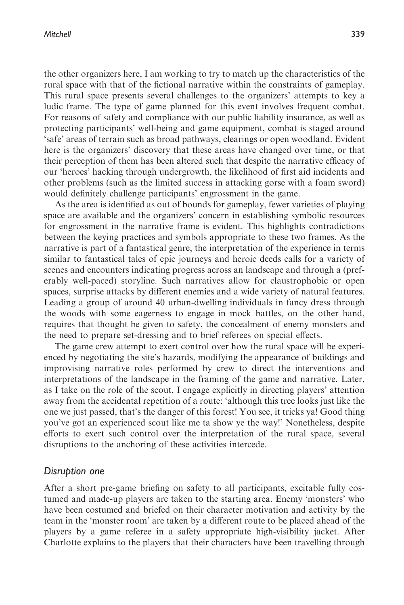the other organizers here, I am working to try to match up the characteristics of the rural space with that of the fictional narrative within the constraints of gameplay. This rural space presents several challenges to the organizers' attempts to key a ludic frame. The type of game planned for this event involves frequent combat. For reasons of safety and compliance with our public liability insurance, as well as protecting participants' well-being and game equipment, combat is staged around 'safe' areas of terrain such as broad pathways, clearings or open woodland. Evident here is the organizers' discovery that these areas have changed over time, or that their perception of them has been altered such that despite the narrative efficacy of our 'heroes' hacking through undergrowth, the likelihood of first aid incidents and other problems (such as the limited success in attacking gorse with a foam sword) would definitely challenge participants' engrossment in the game.

As the area is identified as out of bounds for gameplay, fewer varieties of playing space are available and the organizers' concern in establishing symbolic resources for engrossment in the narrative frame is evident. This highlights contradictions between the keying practices and symbols appropriate to these two frames. As the narrative is part of a fantastical genre, the interpretation of the experience in terms similar to fantastical tales of epic journeys and heroic deeds calls for a variety of scenes and encounters indicating progress across an landscape and through a (preferably well-paced) storyline. Such narratives allow for claustrophobic or open spaces, surprise attacks by different enemies and a wide variety of natural features. Leading a group of around 40 urban-dwelling individuals in fancy dress through the woods with some eagerness to engage in mock battles, on the other hand, requires that thought be given to safety, the concealment of enemy monsters and the need to prepare set-dressing and to brief referees on special effects.

The game crew attempt to exert control over how the rural space will be experienced by negotiating the site's hazards, modifying the appearance of buildings and improvising narrative roles performed by crew to direct the interventions and interpretations of the landscape in the framing of the game and narrative. Later, as I take on the role of the scout, I engage explicitly in directing players' attention away from the accidental repetition of a route: 'although this tree looks just like the one we just passed, that's the danger of this forest! You see, it tricks ya! Good thing you've got an experienced scout like me ta show ye the way!' Nonetheless, despite efforts to exert such control over the interpretation of the rural space, several disruptions to the anchoring of these activities intercede.

#### Disruption one

After a short pre-game briefing on safety to all participants, excitable fully costumed and made-up players are taken to the starting area. Enemy 'monsters' who have been costumed and briefed on their character motivation and activity by the team in the 'monster room' are taken by a different route to be placed ahead of the players by a game referee in a safety appropriate high-visibility jacket. After Charlotte explains to the players that their characters have been travelling through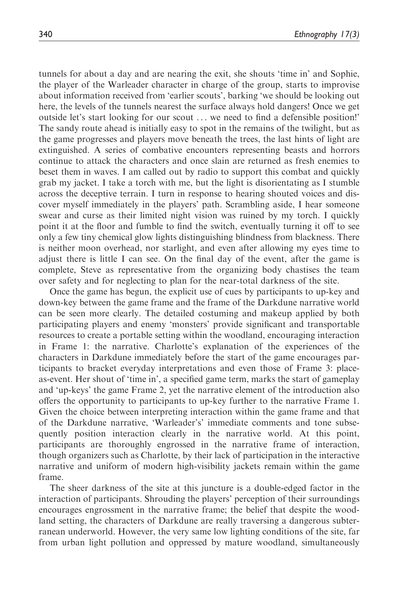tunnels for about a day and are nearing the exit, she shouts 'time in' and Sophie, the player of the Warleader character in charge of the group, starts to improvise about information received from 'earlier scouts', barking 'we should be looking out here, the levels of the tunnels nearest the surface always hold dangers! Once we get outside let's start looking for our scout ... we need to find a defensible position!' The sandy route ahead is initially easy to spot in the remains of the twilight, but as the game progresses and players move beneath the trees, the last hints of light are extinguished. A series of combative encounters representing beasts and horrors continue to attack the characters and once slain are returned as fresh enemies to beset them in waves. I am called out by radio to support this combat and quickly grab my jacket. I take a torch with me, but the light is disorientating as I stumble across the deceptive terrain. I turn in response to hearing shouted voices and discover myself immediately in the players' path. Scrambling aside, I hear someone swear and curse as their limited night vision was ruined by my torch. I quickly point it at the floor and fumble to find the switch, eventually turning it off to see only a few tiny chemical glow lights distinguishing blindness from blackness. There is neither moon overhead, nor starlight, and even after allowing my eyes time to adjust there is little I can see. On the final day of the event, after the game is complete, Steve as representative from the organizing body chastises the team over safety and for neglecting to plan for the near-total darkness of the site.

Once the game has begun, the explicit use of cues by participants to up-key and down-key between the game frame and the frame of the Darkdune narrative world can be seen more clearly. The detailed costuming and makeup applied by both participating players and enemy 'monsters' provide significant and transportable resources to create a portable setting within the woodland, encouraging interaction in Frame 1: the narrative. Charlotte's explanation of the experiences of the characters in Darkdune immediately before the start of the game encourages participants to bracket everyday interpretations and even those of Frame 3: placeas-event. Her shout of 'time in', a specified game term, marks the start of gameplay and 'up-keys' the game Frame 2, yet the narrative element of the introduction also offers the opportunity to participants to up-key further to the narrative Frame 1. Given the choice between interpreting interaction within the game frame and that of the Darkdune narrative, 'Warleader's' immediate comments and tone subsequently position interaction clearly in the narrative world. At this point, participants are thoroughly engrossed in the narrative frame of interaction, though organizers such as Charlotte, by their lack of participation in the interactive narrative and uniform of modern high-visibility jackets remain within the game frame.

The sheer darkness of the site at this juncture is a double-edged factor in the interaction of participants. Shrouding the players' perception of their surroundings encourages engrossment in the narrative frame; the belief that despite the woodland setting, the characters of Darkdune are really traversing a dangerous subterranean underworld. However, the very same low lighting conditions of the site, far from urban light pollution and oppressed by mature woodland, simultaneously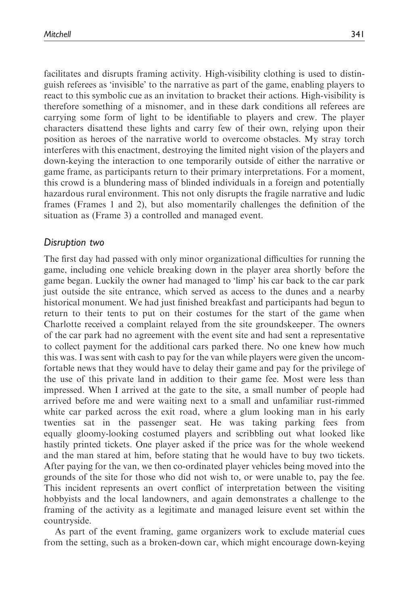facilitates and disrupts framing activity. High-visibility clothing is used to distinguish referees as 'invisible' to the narrative as part of the game, enabling players to react to this symbolic cue as an invitation to bracket their actions. High-visibility is therefore something of a misnomer, and in these dark conditions all referees are carrying some form of light to be identifiable to players and crew. The player characters disattend these lights and carry few of their own, relying upon their position as heroes of the narrative world to overcome obstacles. My stray torch interferes with this enactment, destroying the limited night vision of the players and down-keying the interaction to one temporarily outside of either the narrative or game frame, as participants return to their primary interpretations. For a moment, this crowd is a blundering mass of blinded individuals in a foreign and potentially hazardous rural environment. This not only disrupts the fragile narrative and ludic frames (Frames 1 and 2), but also momentarily challenges the definition of the situation as (Frame 3) a controlled and managed event.

## Disruption two

The first day had passed with only minor organizational difficulties for running the game, including one vehicle breaking down in the player area shortly before the game began. Luckily the owner had managed to 'limp' his car back to the car park just outside the site entrance, which served as access to the dunes and a nearby historical monument. We had just finished breakfast and participants had begun to return to their tents to put on their costumes for the start of the game when Charlotte received a complaint relayed from the site groundskeeper. The owners of the car park had no agreement with the event site and had sent a representative to collect payment for the additional cars parked there. No one knew how much this was. I was sent with cash to pay for the van while players were given the uncomfortable news that they would have to delay their game and pay for the privilege of the use of this private land in addition to their game fee. Most were less than impressed. When I arrived at the gate to the site, a small number of people had arrived before me and were waiting next to a small and unfamiliar rust-rimmed white car parked across the exit road, where a glum looking man in his early twenties sat in the passenger seat. He was taking parking fees from equally gloomy-looking costumed players and scribbling out what looked like hastily printed tickets. One player asked if the price was for the whole weekend and the man stared at him, before stating that he would have to buy two tickets. After paying for the van, we then co-ordinated player vehicles being moved into the grounds of the site for those who did not wish to, or were unable to, pay the fee. This incident represents an overt conflict of interpretation between the visiting hobbyists and the local landowners, and again demonstrates a challenge to the framing of the activity as a legitimate and managed leisure event set within the countryside.

As part of the event framing, game organizers work to exclude material cues from the setting, such as a broken-down car, which might encourage down-keying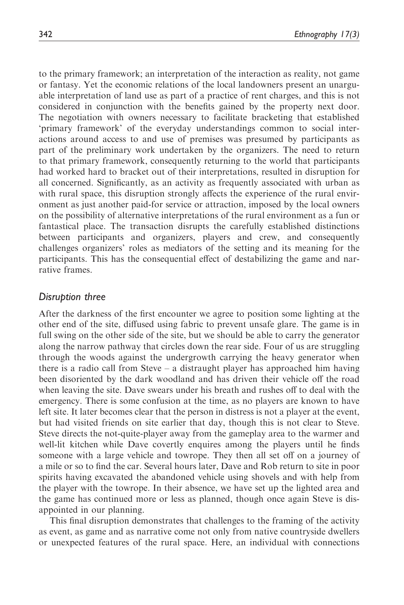to the primary framework; an interpretation of the interaction as reality, not game or fantasy. Yet the economic relations of the local landowners present an unarguable interpretation of land use as part of a practice of rent charges, and this is not considered in conjunction with the benefits gained by the property next door. The negotiation with owners necessary to facilitate bracketing that established 'primary framework' of the everyday understandings common to social interactions around access to and use of premises was presumed by participants as part of the preliminary work undertaken by the organizers. The need to return to that primary framework, consequently returning to the world that participants had worked hard to bracket out of their interpretations, resulted in disruption for all concerned. Significantly, as an activity as frequently associated with urban as with rural space, this disruption strongly affects the experience of the rural environment as just another paid-for service or attraction, imposed by the local owners on the possibility of alternative interpretations of the rural environment as a fun or fantastical place. The transaction disrupts the carefully established distinctions between participants and organizers, players and crew, and consequently challenges organizers' roles as mediators of the setting and its meaning for the participants. This has the consequential effect of destabilizing the game and narrative frames.

#### Disruption three

After the darkness of the first encounter we agree to position some lighting at the other end of the site, diffused using fabric to prevent unsafe glare. The game is in full swing on the other side of the site, but we should be able to carry the generator along the narrow pathway that circles down the rear side. Four of us are struggling through the woods against the undergrowth carrying the heavy generator when there is a radio call from Steve – a distraught player has approached him having been disoriented by the dark woodland and has driven their vehicle off the road when leaving the site. Dave swears under his breath and rushes off to deal with the emergency. There is some confusion at the time, as no players are known to have left site. It later becomes clear that the person in distress is not a player at the event, but had visited friends on site earlier that day, though this is not clear to Steve. Steve directs the not-quite-player away from the gameplay area to the warmer and well-lit kitchen while Dave covertly enquires among the players until he finds someone with a large vehicle and towrope. They then all set off on a journey of a mile or so to find the car. Several hours later, Dave and Rob return to site in poor spirits having excavated the abandoned vehicle using shovels and with help from the player with the towrope. In their absence, we have set up the lighted area and the game has continued more or less as planned, though once again Steve is disappointed in our planning.

This final disruption demonstrates that challenges to the framing of the activity as event, as game and as narrative come not only from native countryside dwellers or unexpected features of the rural space. Here, an individual with connections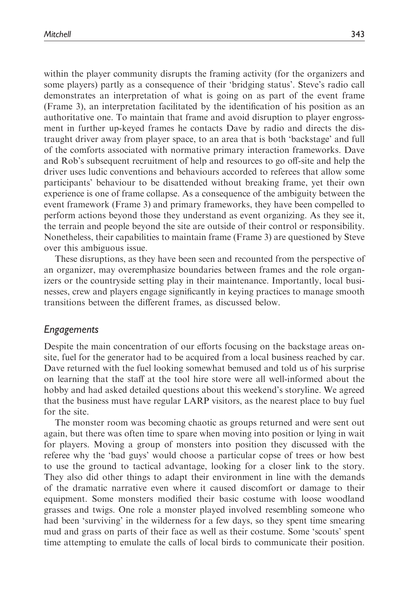within the player community disrupts the framing activity (for the organizers and some players) partly as a consequence of their 'bridging status'. Steve's radio call demonstrates an interpretation of what is going on as part of the event frame (Frame 3), an interpretation facilitated by the identification of his position as an authoritative one. To maintain that frame and avoid disruption to player engrossment in further up-keyed frames he contacts Dave by radio and directs the distraught driver away from player space, to an area that is both 'backstage' and full of the comforts associated with normative primary interaction frameworks. Dave and Rob's subsequent recruitment of help and resources to go off-site and help the driver uses ludic conventions and behaviours accorded to referees that allow some participants' behaviour to be disattended without breaking frame, yet their own experience is one of frame collapse. As a consequence of the ambiguity between the event framework (Frame 3) and primary frameworks, they have been compelled to perform actions beyond those they understand as event organizing. As they see it, the terrain and people beyond the site are outside of their control or responsibility. Nonetheless, their capabilities to maintain frame (Frame 3) are questioned by Steve over this ambiguous issue.

These disruptions, as they have been seen and recounted from the perspective of an organizer, may overemphasize boundaries between frames and the role organizers or the countryside setting play in their maintenance. Importantly, local businesses, crew and players engage significantly in keying practices to manage smooth transitions between the different frames, as discussed below.

#### **Engagements**

Despite the main concentration of our efforts focusing on the backstage areas onsite, fuel for the generator had to be acquired from a local business reached by car. Dave returned with the fuel looking somewhat bemused and told us of his surprise on learning that the staff at the tool hire store were all well-informed about the hobby and had asked detailed questions about this weekend's storyline. We agreed that the business must have regular LARP visitors, as the nearest place to buy fuel for the site.

The monster room was becoming chaotic as groups returned and were sent out again, but there was often time to spare when moving into position or lying in wait for players. Moving a group of monsters into position they discussed with the referee why the 'bad guys' would choose a particular copse of trees or how best to use the ground to tactical advantage, looking for a closer link to the story. They also did other things to adapt their environment in line with the demands of the dramatic narrative even where it caused discomfort or damage to their equipment. Some monsters modified their basic costume with loose woodland grasses and twigs. One role a monster played involved resembling someone who had been 'surviving' in the wilderness for a few days, so they spent time smearing mud and grass on parts of their face as well as their costume. Some 'scouts' spent time attempting to emulate the calls of local birds to communicate their position.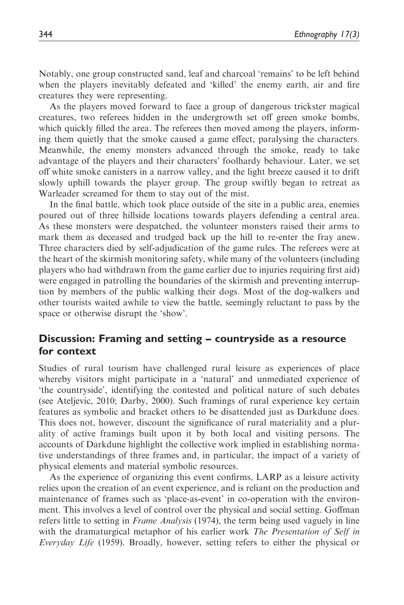Notably, one group constructed sand, leaf and charcoal 'remains' to be left behind when the players inevitably defeated and 'killed' the enemy earth, air and fire creatures they were representing.

As the players moved forward to face a group of dangerous trickster magical creatures, two referees hidden in the undergrowth set off green smoke bombs, which quickly filled the area. The referees then moved among the players, informing them quietly that the smoke caused a game effect, paralysing the characters. Meanwhile, the enemy monsters advanced through the smoke, ready to take advantage of the players and their characters' foolhardy behaviour. Later, we set off white smoke canisters in a narrow valley, and the light breeze caused it to drift slowly uphill towards the player group. The group swiftly began to retreat as Warleader screamed for them to stay out of the mist.

In the final battle, which took place outside of the site in a public area, enemies poured out of three hillside locations towards players defending a central area. As these monsters were despatched, the volunteer monsters raised their arms to mark them as deceased and trudged back up the hill to re-enter the fray anew. Three characters died by self-adjudication of the game rules. The referees were at the heart of the skirmish monitoring safety, while many of the volunteers (including players who had withdrawn from the game earlier due to injuries requiring first aid) were engaged in patrolling the boundaries of the skirmish and preventing interruption by members of the public walking their dogs. Most of the dog-walkers and other tourists waited awhile to view the battle, seemingly reluctant to pass by the space or otherwise disrupt the 'show'.

# Discussion: Framing and setting – countryside as a resource for context

Studies of rural tourism have challenged rural leisure as experiences of place whereby visitors might participate in a 'natural' and unmediated experience of 'the countryside', identifying the contested and political nature of such debates (see Ateljevic, 2010; Darby, 2000). Such framings of rural experience key certain features as symbolic and bracket others to be disattended just as Darkdune does. This does not, however, discount the significance of rural materiality and a plurality of active framings built upon it by both local and visiting persons. The accounts of Darkdune highlight the collective work implied in establishing normative understandings of three frames and, in particular, the impact of a variety of physical elements and material symbolic resources.

As the experience of organizing this event confirms, LARP as a leisure activity relies upon the creation of an event experience, and is reliant on the production and maintenance of frames such as 'place-as-event' in co-operation with the environment. This involves a level of control over the physical and social setting. Goffman refers little to setting in *Frame Analysis* (1974), the term being used vaguely in line with the dramaturgical metaphor of his earlier work *The Presentation of Self in* Everyday Life (1959). Broadly, however, setting refers to either the physical or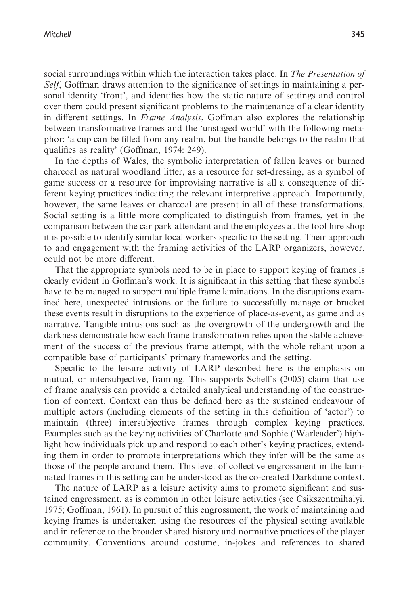social surroundings within which the interaction takes place. In The Presentation of Self, Goffman draws attention to the significance of settings in maintaining a personal identity 'front', and identifies how the static nature of settings and control over them could present significant problems to the maintenance of a clear identity in different settings. In Frame Analysis, Goffman also explores the relationship between transformative frames and the 'unstaged world' with the following metaphor: 'a cup can be filled from any realm, but the handle belongs to the realm that qualifies as reality' (Goffman, 1974: 249).

In the depths of Wales, the symbolic interpretation of fallen leaves or burned charcoal as natural woodland litter, as a resource for set-dressing, as a symbol of game success or a resource for improvising narrative is all a consequence of different keying practices indicating the relevant interpretive approach. Importantly, however, the same leaves or charcoal are present in all of these transformations. Social setting is a little more complicated to distinguish from frames, yet in the comparison between the car park attendant and the employees at the tool hire shop it is possible to identify similar local workers specific to the setting. Their approach to and engagement with the framing activities of the LARP organizers, however, could not be more different.

That the appropriate symbols need to be in place to support keying of frames is clearly evident in Goffman's work. It is significant in this setting that these symbols have to be managed to support multiple frame laminations. In the disruptions examined here, unexpected intrusions or the failure to successfully manage or bracket these events result in disruptions to the experience of place-as-event, as game and as narrative. Tangible intrusions such as the overgrowth of the undergrowth and the darkness demonstrate how each frame transformation relies upon the stable achievement of the success of the previous frame attempt, with the whole reliant upon a compatible base of participants' primary frameworks and the setting.

Specific to the leisure activity of LARP described here is the emphasis on mutual, or intersubjective, framing. This supports Scheff's (2005) claim that use of frame analysis can provide a detailed analytical understanding of the construction of context. Context can thus be defined here as the sustained endeavour of multiple actors (including elements of the setting in this definition of 'actor') to maintain (three) intersubjective frames through complex keying practices. Examples such as the keying activities of Charlotte and Sophie ('Warleader') highlight how individuals pick up and respond to each other's keying practices, extending them in order to promote interpretations which they infer will be the same as those of the people around them. This level of collective engrossment in the laminated frames in this setting can be understood as the co-created Darkdune context.

The nature of LARP as a leisure activity aims to promote significant and sustained engrossment, as is common in other leisure activities (see Csikszentmihalyi, 1975; Goffman, 1961). In pursuit of this engrossment, the work of maintaining and keying frames is undertaken using the resources of the physical setting available and in reference to the broader shared history and normative practices of the player community. Conventions around costume, in-jokes and references to shared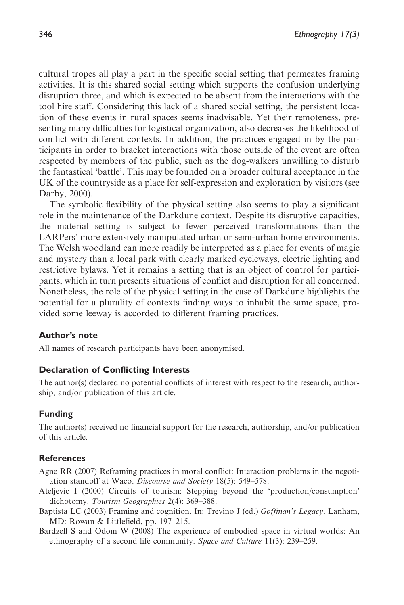cultural tropes all play a part in the specific social setting that permeates framing activities. It is this shared social setting which supports the confusion underlying disruption three, and which is expected to be absent from the interactions with the tool hire staff. Considering this lack of a shared social setting, the persistent location of these events in rural spaces seems inadvisable. Yet their remoteness, presenting many difficulties for logistical organization, also decreases the likelihood of conflict with different contexts. In addition, the practices engaged in by the participants in order to bracket interactions with those outside of the event are often respected by members of the public, such as the dog-walkers unwilling to disturb the fantastical 'battle'. This may be founded on a broader cultural acceptance in the UK of the countryside as a place for self-expression and exploration by visitors (see Darby, 2000).

The symbolic flexibility of the physical setting also seems to play a significant role in the maintenance of the Darkdune context. Despite its disruptive capacities, the material setting is subject to fewer perceived transformations than the LARPers' more extensively manipulated urban or semi-urban home environments. The Welsh woodland can more readily be interpreted as a place for events of magic and mystery than a local park with clearly marked cycleways, electric lighting and restrictive bylaws. Yet it remains a setting that is an object of control for participants, which in turn presents situations of conflict and disruption for all concerned. Nonetheless, the role of the physical setting in the case of Darkdune highlights the potential for a plurality of contexts finding ways to inhabit the same space, provided some leeway is accorded to different framing practices.

#### Author's note

All names of research participants have been anonymised.

#### Declaration of Conflicting Interests

The author(s) declared no potential conflicts of interest with respect to the research, authorship, and/or publication of this article.

#### Funding

The author(s) received no financial support for the research, authorship, and/or publication of this article.

#### References

Agne RR (2007) Reframing practices in moral conflict: Interaction problems in the negotiation standoff at Waco. Discourse and Society 18(5): 549–578.

- Ateljevic I (2000) Circuits of tourism: Stepping beyond the 'production/consumption' dichotomy. Tourism Geographies 2(4): 369–388.
- Baptista LC (2003) Framing and cognition. In: Trevino J (ed.) Goffman's Legacy. Lanham, MD: Rowan & Littlefield, pp. 197–215.
- Bardzell S and Odom W (2008) The experience of embodied space in virtual worlds: An ethnography of a second life community. Space and Culture 11(3): 239–259.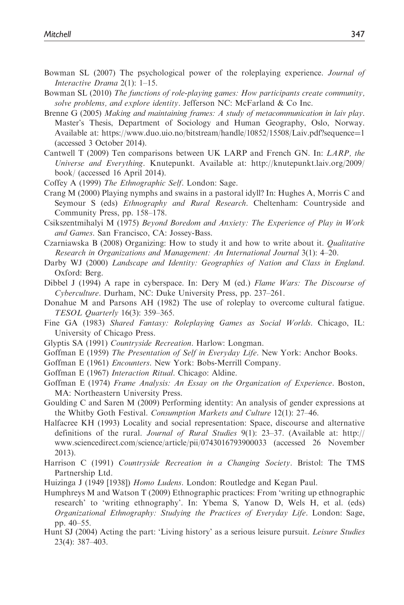- Bowman SL (2007) The psychological power of the roleplaying experience. Journal of Interactive Drama 2(1): 1–15.
- Bowman SL (2010) The functions of role-playing games: How participants create community, solve problems, and explore identity. Jefferson NC: McFarland & Co Inc.
- Brenne G (2005) Making and maintaining frames: A study of metacommunication in laiv play. Master's Thesis, Department of Sociology and Human Geography, Oslo, Norway. Available at: https://www.duo.uio.no/bitstream/handle/10852/15508/Laiv.pdf?sequence=1 (accessed 3 October 2014).
- Cantwell T (2009) Ten comparisons between UK LARP and French GN. In: LARP, the Universe and Everything. Knutepunkt. Available at: http://knutepunkt.laiv.org/2009/ book/ (accessed 16 April 2014).
- Coffey A (1999) The Ethnographic Self. London: Sage.
- Crang M (2000) Playing nymphs and swains in a pastoral idyll? In: Hughes A, Morris C and Seymour S (eds) *Ethnography and Rural Research*. Cheltenham: Countryside and Community Press, pp. 158–178.
- Csikszentmihalyi M (1975) Beyond Boredom and Anxiety: The Experience of Play in Work and Games. San Francisco, CA: Jossey-Bass.
- Czarniawska B (2008) Organizing: How to study it and how to write about it. Qualitative Research in Organizations and Management: An International Journal 3(1): 4–20.
- Darby WJ (2000) Landscape and Identity: Geographies of Nation and Class in England. Oxford: Berg.
- Dibbel J (1994) A rape in cyberspace. In: Dery M (ed.) Flame Wars: The Discourse of Cyberculture. Durham, NC: Duke University Press, pp. 237–261.
- Donahue M and Parsons AH (1982) The use of roleplay to overcome cultural fatigue. TESOL Quarterly 16(3): 359–365.
- Fine GA (1983) Shared Fantasy: Roleplaying Games as Social Worlds. Chicago, IL: University of Chicago Press.
- Glyptis SA (1991) Countryside Recreation. Harlow: Longman.
- Goffman E (1959) The Presentation of Self in Everyday Life. New York: Anchor Books.
- Goffman E (1961) Encounters. New York: Bobs-Merrill Company.
- Goffman E (1967) Interaction Ritual. Chicago: Aldine.
- Goffman E (1974) Frame Analysis: An Essay on the Organization of Experience. Boston, MA: Northeastern University Press.
- Goulding C and Saren M (2009) Performing identity: An analysis of gender expressions at the Whitby Goth Festival. Consumption Markets and Culture 12(1): 27–46.
- Halfacree KH (1993) Locality and social representation: Space, discourse and alternative definitions of the rural. Journal of Rural Studies  $9(1)$ : 23–37. (Available at: http:// www.sciencedirect.com/science/article/pii/0743016793900033 (accessed 26 November 2013).
- Harrison C (1991) Countryside Recreation in a Changing Society. Bristol: The TMS Partnership Ltd.
- Huizinga J (1949 [1938]) Homo Ludens. London: Routledge and Kegan Paul.
- Humphreys M and Watson T (2009) Ethnographic practices: From 'writing up ethnographic research' to 'writing ethnography'. In: Ybema S, Yanow D, Wels H, et al. (eds) Organizational Ethnography: Studying the Practices of Everyday Life. London: Sage, pp. 40–55.
- Hunt SJ (2004) Acting the part: 'Living history' as a serious leisure pursuit. Leisure Studies 23(4): 387–403.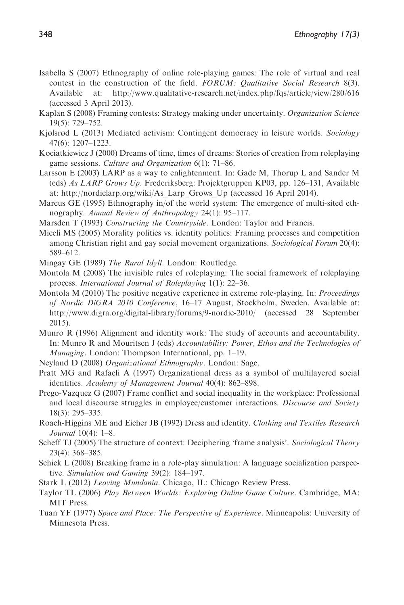- Isabella S (2007) Ethnography of online role-playing games: The role of virtual and real contest in the construction of the field. FORUM: Qualitative Social Research 8(3). Available at: http://www.qualitative-research.net/index.php/fqs/article/view/280/616 (accessed 3 April 2013).
- Kaplan S (2008) Framing contests: Strategy making under uncertainty. Organization Science 19(5): 729–752.
- Kjølsrød L (2013) Mediated activism: Contingent democracy in leisure worlds. Sociology 47(6): 1207–1223.
- Kociatkiewicz J (2000) Dreams of time, times of dreams: Stories of creation from roleplaying game sessions. Culture and Organization 6(1): 71–86.
- Larsson E (2003) LARP as a way to enlightenment. In: Gade M, Thorup L and Sander M (eds) As LARP Grows Up. Frederiksberg: Projektgruppen KP03, pp. 126–131, Available at: http://nordiclarp.org/wiki/As\_Larp\_Grows\_Up (accessed 16 April 2014).
- Marcus GE (1995) Ethnography in/of the world system: The emergence of multi-sited ethnography. Annual Review of Anthropology 24(1): 95-117.
- Marsden T (1993) Constructing the Countryside. London: Taylor and Francis.
- Miceli MS (2005) Morality politics vs. identity politics: Framing processes and competition among Christian right and gay social movement organizations. Sociological Forum 20(4): 589–612.
- Mingay GE (1989) The Rural Idyll. London: Routledge.
- Montola M (2008) The invisible rules of roleplaying: The social framework of roleplaying process. International Journal of Roleplaying 1(1): 22–36.
- Montola M (2010) The positive negative experience in extreme role-playing. In: *Proceedings* of Nordic DiGRA 2010 Conference, 16–17 August, Stockholm, Sweden. Available at: http://www.digra.org/digital-library/forums/9-nordic-2010/ (accessed 28 September 2015).
- Munro R (1996) Alignment and identity work: The study of accounts and accountability. In: Munro R and Mouritsen J (eds) Accountability: Power, Ethos and the Technologies of Managing. London: Thompson International, pp. 1–19.
- Neyland D (2008) Organizational Ethnography. London: Sage.
- Pratt MG and Rafaeli A (1997) Organizational dress as a symbol of multilayered social identities. Academy of Management Journal 40(4): 862–898.
- Prego-Vazquez G (2007) Frame conflict and social inequality in the workplace: Professional and local discourse struggles in employee/customer interactions. Discourse and Society 18(3): 295–335.
- Roach-Higgins ME and Eicher JB (1992) Dress and identity. Clothing and Textiles Research Journal 10(4): 1–8.
- Scheff TJ (2005) The structure of context: Deciphering 'frame analysis'. Sociological Theory 23(4): 368–385.
- Schick L (2008) Breaking frame in a role-play simulation: A language socialization perspective. Simulation and Gaming 39(2): 184–197.
- Stark L (2012) Leaving Mundania. Chicago, IL: Chicago Review Press.
- Taylor TL (2006) Play Between Worlds: Exploring Online Game Culture. Cambridge, MA: MIT Press.
- Tuan YF (1977) Space and Place: The Perspective of Experience. Minneapolis: University of Minnesota Press.